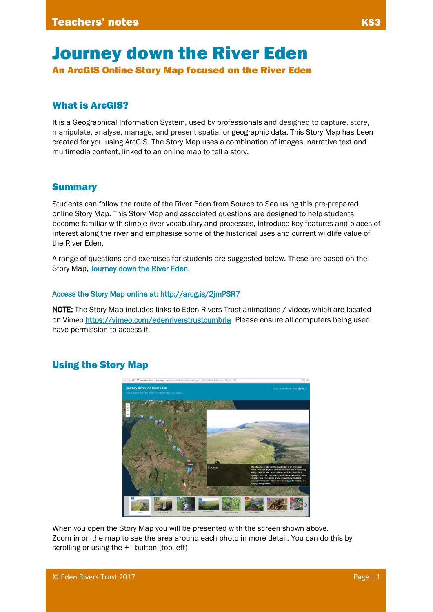# Journey down the River Eden

An ArcGIS Online Story Map focused on the River Eden

## What is ArcGIS?

It is a Geographical Information System, used by professionals and designed to capture, store, manipulate, analyse, manage, and present spatial or [geographic data.](https://en.wikipedia.org/wiki/Geographic_data) This Story Map has been created for you using ArcGIS. The Story Map uses a combination of images, narrative text and multimedia content, linked to an online map to tell a story.

#### Summary

Students can follow the route of the River Eden from Source to Sea using this pre-prepared online Story Map. This Story Map and associated questions are designed to help students become familiar with simple river vocabulary and processes, introduce key features and places of interest along the river and emphasise some of the historical uses and current wildlife value of the River Eden.

A range of questions and exercises for students are suggested below. These are based on the Story Map, Journey down the River Eden.

#### Access the Story Map online at:<http://arcg.is/2jmPSR7>

NOTE: The Story Map includes links to Eden Rivers Trust animations / videos which are located on Vimeo <https://vimeo.com/edenriverstrustcumbria> Please ensure all computers being used have permission to access it.

#### Using the Story Map



When you open the Story Map you will be presented with the screen shown above. Zoom in on the map to see the area around each photo in more detail. You can do this by scrolling or using the + - button (top left)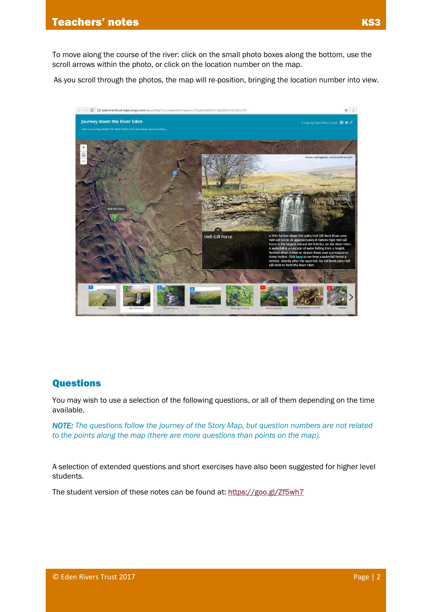To move along the course of the river: click on the small photo boxes along the bottom, use the scroll arrows within the photo, or click on the location number on the map.

As you scroll through the photos, the map will re-position, bringing the location number into view.



### Questions

You may wish to use a selection of the following questions, or all of them depending on the time available.

*NOTE: The questions follow the journey of the Story Map, but question numbers are not related to the points along the map (there are more questions than points on the map).* 

A selection of extended questions and short exercises have also been suggested for higher level students.

The student version of these notes can be found at[: https://goo.gl/Zf5wh7](https://goo.gl/Zf5wh7)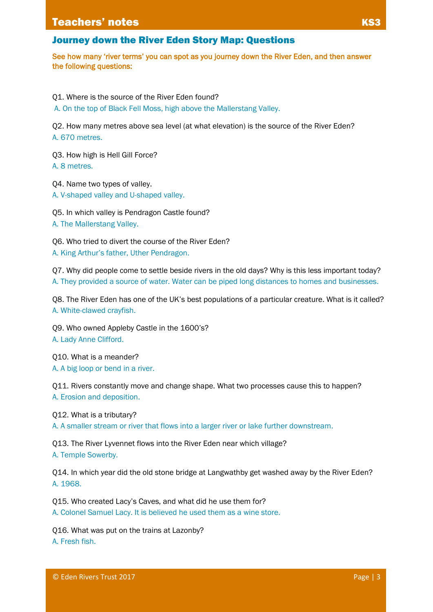#### **Teachers' notes**

#### Journey down the River Eden Story Map: Questions

See how many 'river terms' you can spot as you journey down the River Eden, and then answer the following questions:

Q1. Where is the source of the River Eden found?

A. On the top of Black Fell Moss, high above the Mallerstang Valley.

Q2. How many metres above sea level (at what elevation) is the source of the River Eden? A. 670 metres.

Q3. How high is Hell Gill Force? A. 8 metres.

Q4. Name two types of valley. A. V-shaped valley and U-shaped valley.

Q5. In which valley is Pendragon Castle found? A. The Mallerstang Valley.

Q6. Who tried to divert the course of the River Eden? A. King Arthur's father, Uther Pendragon.

Q7. Why did people come to settle beside rivers in the old days? Why is this less important today? A. They provided a source of water. Water can be piped long distances to homes and businesses.

Q8. The River Eden has one of the UK's best populations of a particular creature. What is it called? A. White-clawed crayfish.

Q9. Who owned Appleby Castle in the 1600's? A. Lady Anne Clifford.

Q10. What is a meander?

A. A big loop or bend in a river.

Q11. Rivers constantly move and change shape. What two processes cause this to happen? A. Erosion and deposition.

Q12. What is a tributary?

A. A smaller stream or river that flows into a larger river or lake further downstream.

Q13. The River Lyvennet flows into the River Eden near which village? A. Temple Sowerby.

Q14. In which year did the old stone bridge at Langwathby get washed away by the River Eden? A. 1968.

Q15. Who created Lacy's Caves, and what did he use them for? A. Colonel Samuel Lacy. It is believed he used them as a wine store.

Q16. What was put on the trains at Lazonby? A. Fresh fish.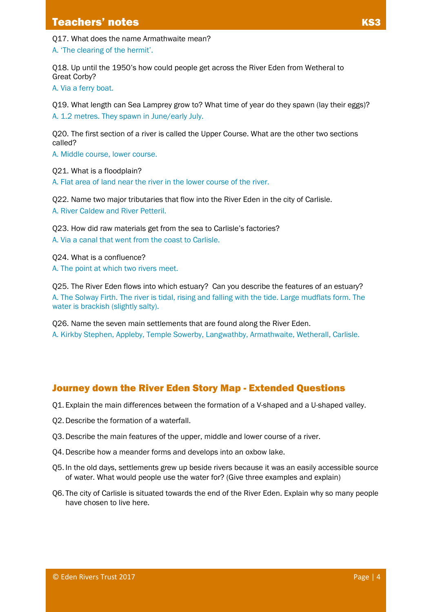Q17. What does the name Armathwaite mean?

A. 'The clearing of the hermit'.

Q18. Up until the 1950's how could people get across the River Eden from Wetheral to Great Corby?

A. Via a ferry boat.

Q19. What length can Sea Lamprey grow to? What time of year do they spawn (lay their eggs)? A. 1.2 metres. They spawn in June/early July.

Q20. The first section of a river is called the Upper Course. What are the other two sections called?

A. Middle course, lower course.

Q21. What is a floodplain? A. Flat area of land near the river in the lower course of the river.

Q22. Name two major tributaries that flow into the River Eden in the city of Carlisle. A. River Caldew and River Petteril.

Q23. How did raw materials get from the sea to Carlisle's factories? A. Via a canal that went from the coast to Carlisle.

Q24. What is a confluence?

A. The point at which two rivers meet.

Q25. The River Eden flows into which estuary? Can you describe the features of an estuary? A. The Solway Firth. The river is tidal, rising and falling with the tide. Large mudflats form. The water is brackish (slightly salty).

Q26. Name the seven main settlements that are found along the River Eden. A. Kirkby Stephen, Appleby, Temple Sowerby, Langwathby, Armathwaite, Wetherall, Carlisle.

## Journey down the River Eden Story Map - Extended Questions

Q1. Explain the main differences between the formation of a V-shaped and a U-shaped valley.

- Q2. Describe the formation of a waterfall.
- Q3. Describe the main features of the upper, middle and lower course of a river.
- Q4. Describe how a meander forms and develops into an oxbow lake.
- Q5. In the old days, settlements grew up beside rivers because it was an easily accessible source of water. What would people use the water for? (Give three examples and explain)
- Q6. The city of Carlisle is situated towards the end of the River Eden. Explain why so many people have chosen to live here.